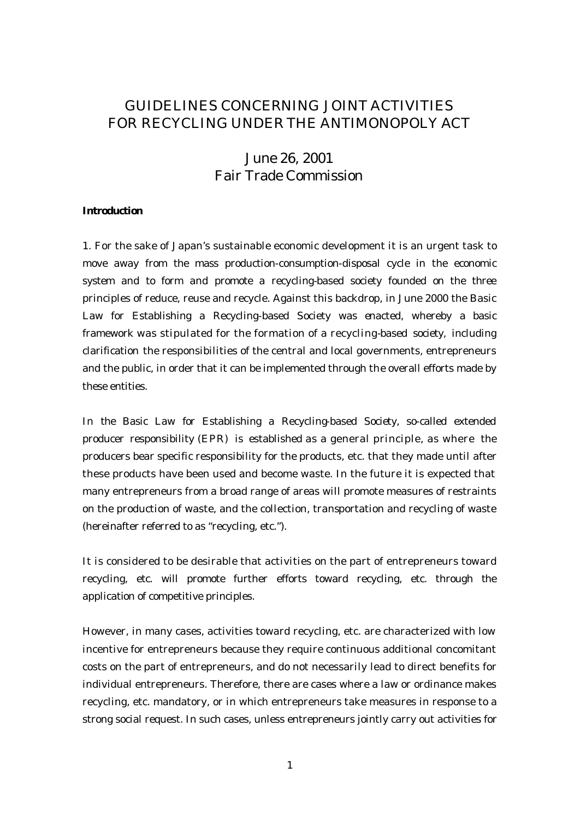# GUIDELINES CONCERNING JOINT ACTIVITIES FOR RECYCLING UNDER THE ANTIMONOPOLY ACT

# June 26, 2001 Fair Trade Commission

#### **Introduction**

1. For the sake of Japan's sustainable economic development it is an urgent task to move away from the mass production-consumption-disposal cycle in the economic system and to form and promote a recycling-based society founded on the three principles of reduce, reuse and recycle. Against this backdrop, in June 2000 the Basic Law for Establishing a Recycling-based Society was enacted, whereby a basic framework was stipulated for the formation of a recycling-based society, including clarification the responsibilities of the central and local governments, entrepreneurs and the public, in order that it can be implemented through the overall efforts made by these entities.

In the Basic Law for Establishing a Recycling-based Society, so-called extended producer responsibility (EPR) is established as a general principle, as where the producers bear specific responsibility for the products, etc. that they made until after these products have been used and become waste. In the future it is expected that many entrepreneurs from a broad range of areas will promote measures of restraints on the production of waste, and the collection, transportation and recycling of waste (hereinafter referred to as "recycling, etc.").

It is considered to be desirable that activities on the part of entrepreneurs toward recycling, etc. will promote further efforts toward recycling, etc. through the application of competitive principles.

However, in many cases, activities toward recycling, etc. are characterized with low incentive for entrepreneurs because they require continuous additional concomitant costs on the part of entrepreneurs, and do not necessarily lead to direct benefits for individual entrepreneurs. Therefore, there are cases where a law or ordinance makes recycling, etc. mandatory, or in which entrepreneurs take measures in response to a strong social request. In such cases, unless entrepreneurs jointly carry out activities for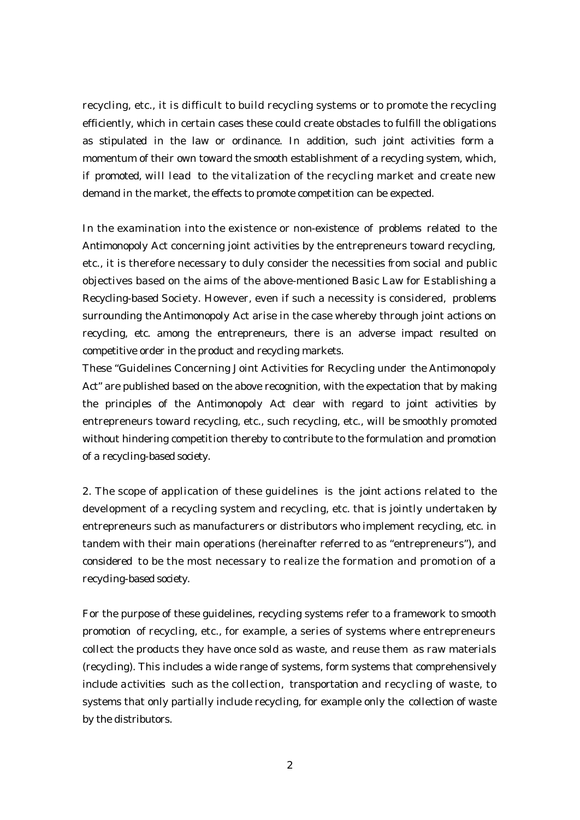recycling, etc., it is difficult to build recycling systems or to promote the recycling efficiently, which in certain cases these could create obstacles to fulfill the obligations as stipulated in the law or ordinance. In addition, such joint activities form a momentum of their own toward the smooth establishment of a recycling system, which, if promoted, will lead to the vitalization of the recycling market and create new demand in the market, the effects to promote competition can be expected.

In the examination into the existence or non-existence of problems related to the Antimonopoly Act concerning joint activities by the entrepreneurs toward recycling, etc., it is therefore necessary to duly consider the necessities from social and public objectives based on the aims of the above-mentioned Basic Law for Establishing a Recycling-based Society. However, even if such a necessity is considered, problems surrounding the Antimonopoly Act arise in the case whereby through joint actions on recycling, etc. among the entrepreneurs, there is an adverse impact resulted on competitive order in the product and recycling markets.

These "Guidelines Concerning Joint Activities for Recycling under the Antimonopoly Act" are published based on the above recognition, with the expectation that by making the principles of the Antimonopoly Act clear with regard to joint activities by entrepreneurs toward recycling, etc., such recycling, etc., will be smoothly promoted without hindering competition thereby to contribute to the formulation and promotion of a recycling-based society.

2. The scope of application of these guidelines is the joint actions related to the development of a recycling system and recycling, etc. that is jointly undertaken by entrepreneurs such as manufacturers or distributors who implement recycling, etc. in tandem with their main operations (hereinafter referred to as "entrepreneurs"), and considered to be the most necessary to realize the formation and promotion of a recycling-based society.

For the purpose of these guidelines, recycling systems refer to a framework to smooth promotion of recycling, etc., for example, a series of systems where entrepreneurs collect the products they have once sold as waste, and reuse them as raw materials (recycling). This includes a wide range of systems, form systems that comprehensively include activities such as the collection, transportation and recycling of waste, to systems that only partially include recycling, for example only the collection of waste by the distributors.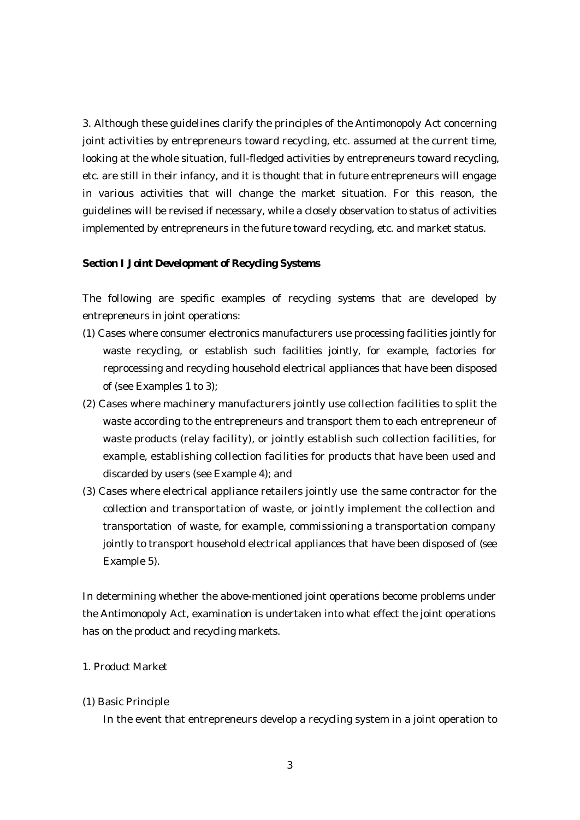3. Although these guidelines clarify the principles of the Antimonopoly Act concerning joint activities by entrepreneurs toward recycling, etc. assumed at the current time, looking at the whole situation, full-fledged activities by entrepreneurs toward recycling, etc. are still in their infancy, and it is thought that in future entrepreneurs will engage in various activities that will change the market situation. For this reason, the guidelines will be revised if necessary, while a closely observation to status of activities implemented by entrepreneurs in the future toward recycling, etc. and market status.

# **Section I Joint Development of Recycling Systems**

The following are specific examples of recycling systems that are developed by entrepreneurs in joint operations:

- (1) Cases where consumer electronics manufacturers use processing facilities jointly for waste recycling, or establish such facilities jointly, for example, factories for reprocessing and recycling household electrical appliances that have been disposed of (see Examples 1 to 3);
- (2) Cases where machinery manufacturers jointly use collection facilities to split the waste according to the entrepreneurs and transport them to each entrepreneur of waste products (relay facility), or jointly establish such collection facilities, for example, establishing collection facilities for products that have been used and discarded by users (see Example 4); and
- (3) Cases where electrical appliance retailers jointly use the same contractor for the collection and transportation of waste, or jointly implement the collection and transportation of waste, for example, commissioning a transportation company jointly to transport household electrical appliances that have been disposed of (see Example 5).

In determining whether the above-mentioned joint operations become problems under the Antimonopoly Act, examination is undertaken into what effect the joint operations has on the product and recycling markets.

# 1. Product Market

#### (1) Basic Principle

In the event that entrepreneurs develop a recycling system in a joint operation to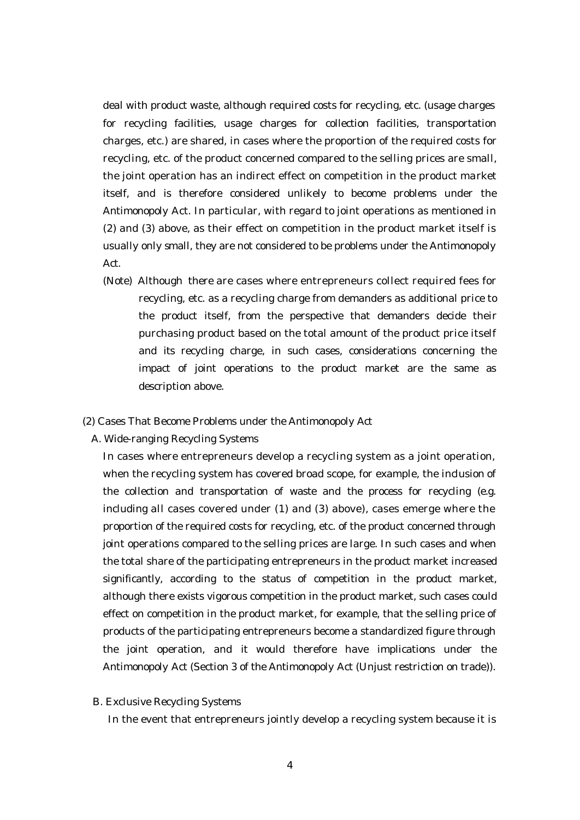deal with product waste, although required costs for recycling, etc. (usage charges for recycling facilities, usage charges for collection facilities, transportation charges, etc.) are shared, in cases where the proportion of the required costs for recycling, etc. of the product concerned compared to the selling prices are small, the joint operation has an indirect effect on competition in the product market itself, and is therefore considered unlikely to become problems under the Antimonopoly Act. In particular, with regard to joint operations as mentioned in (2) and (3) above, as their effect on competition in the product market itself is usually only small, they are not considered to be problems under the Antimonopoly Act.

- (Note) Although there are cases where entrepreneurs collect required fees for recycling, etc. as a recycling charge from demanders as additional price to the product itself, from the perspective that demanders decide their purchasing product based on the total amount of the product price itself and its recycling charge, in such cases, considerations concerning the impact of joint operations to the product market are the same as description above.
- (2) Cases That Become Problems under the Antimonopoly Act
	- A. Wide-ranging Recycling Systems

In cases where entrepreneurs develop a recycling system as a joint operation, when the recycling system has covered broad scope, for example, the inclusion of the collection and transportation of waste and the process for recycling (e.g. including all cases covered under (1) and (3) above), cases emerge where the proportion of the required costs for recycling, etc. of the product concerned through joint operations compared to the selling prices are large. In such cases and when the total share of the participating entrepreneurs in the product market increased significantly, according to the status of competition in the product market, although there exists vigorous competition in the product market, such cases could effect on competition in the product market, for example, that the selling price of products of the participating entrepreneurs become a standardized figure through the joint operation, and it would therefore have implications under the Antimonopoly Act (Section 3 of the Antimonopoly Act (Unjust restriction on trade)).

B. Exclusive Recycling Systems

In the event that entrepreneurs jointly develop a recycling system because it is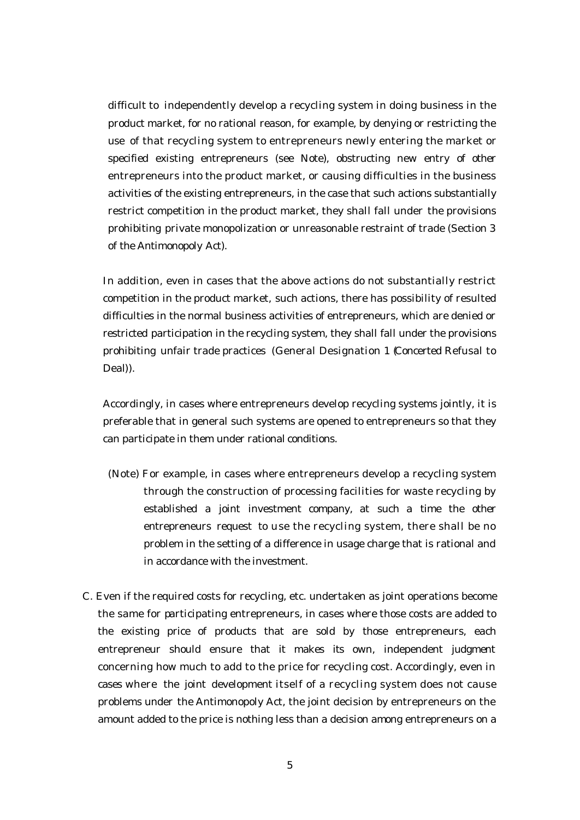difficult to independently develop a recycling system in doing business in the product market, for no rational reason, for example, by denying or restricting the use of that recycling system to entrepreneurs newly entering the market or specified existing entrepreneurs (see Note), obstructing new entry of other entrepreneurs into the product market, or causing difficulties in the business activities of the existing entrepreneurs, in the case that such actions substantially restrict competition in the product market, they shall fall under the provisions prohibiting private monopolization or unreasonable restraint of trade (Section 3 of the Antimonopoly Act).

In addition, even in cases that the above actions do not substantially restrict competition in the product market, such actions, there has possibility of resulted difficulties in the normal business activities of entrepreneurs, which are denied or restricted participation in the recycling system, they shall fall under the provisions prohibiting unfair trade practices (General Designation 1 (Concerted Refusal to Deal)).

Accordingly, in cases where entrepreneurs develop recycling systems jointly, it is preferable that in general such systems are opened to entrepreneurs so that they can participate in them under rational conditions.

- (Note) For example, in cases where entrepreneurs develop a recycling system through the construction of processing facilities for waste recycling by established a joint investment company, at such a time the other entrepreneurs request to use the recycling system, there shall be no problem in the setting of a difference in usage charge that is rational and in accordance with the investment.
- C. Even if the required costs for recycling, etc. undertaken as joint operations become the same for participating entrepreneurs, in cases where those costs are added to the existing price of products that are sold by those entrepreneurs, each entrepreneur should ensure that it makes its own, independent judgment concerning how much to add to the price for recycling cost. Accordingly, even in cases where the joint development itself of a recycling system does not cause problems under the Antimonopoly Act, the joint decision by entrepreneurs on the amount added to the price is nothing less than a decision among entrepreneurs on a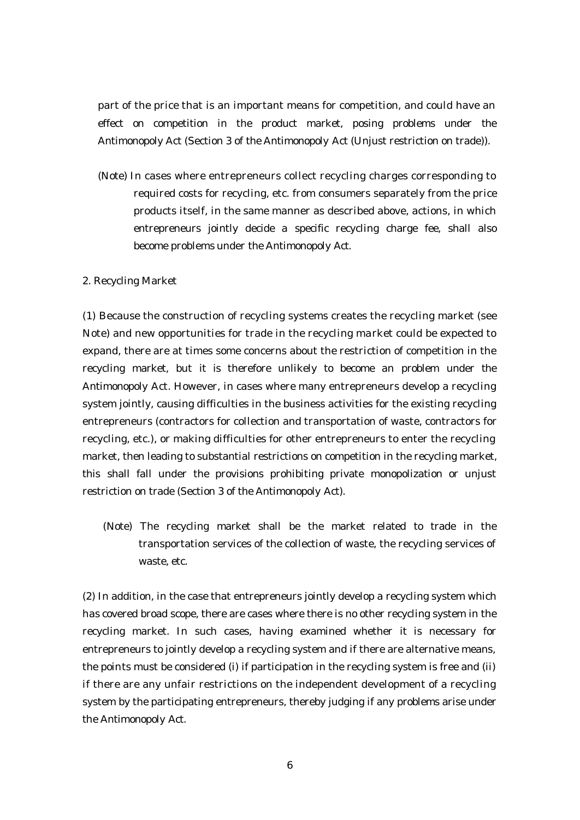part of the price that is an important means for competition, and could have an effect on competition in the product market, posing problems under the Antimonopoly Act (Section 3 of the Antimonopoly Act (Unjust restriction on trade)).

(Note) In cases where entrepreneurs collect recycling charges corresponding to required costs for recycling, etc. from consumers separately from the price products itself, in the same manner as described above, actions, in which entrepreneurs jointly decide a specific recycling charge fee, shall also become problems under the Antimonopoly Act.

#### 2. Recycling Market

(1) Because the construction of recycling systems creates the recycling market (see Note) and new opportunities for trade in the recycling market could be expected to expand, there are at times some concerns about the restriction of competition in the recycling market, but it is therefore unlikely to become an problem under the Antimonopoly Act. However, in cases where many entrepreneurs develop a recycling system jointly, causing difficulties in the business activities for the existing recycling entrepreneurs (contractors for collection and transportation of waste, contractors for recycling, etc.), or making difficulties for other entrepreneurs to enter the recycling market, then leading to substantial restrictions on competition in the recycling market, this shall fall under the provisions prohibiting private monopolization or unjust restriction on trade (Section 3 of the Antimonopoly Act).

(Note) The recycling market shall be the market related to trade in the transportation services of the collection of waste, the recycling services of waste, etc.

(2) In addition, in the case that entrepreneurs jointly develop a recycling system which has covered broad scope, there are cases where there is no other recycling system in the recycling market. In such cases, having examined whether it is necessary for entrepreneurs to jointly develop a recycling system and if there are alternative means, the points must be considered (i) if participation in the recycling system is free and (ii) if there are any unfair restrictions on the independent development of a recycling system by the participating entrepreneurs, thereby judging if any problems arise under the Antimonopoly Act.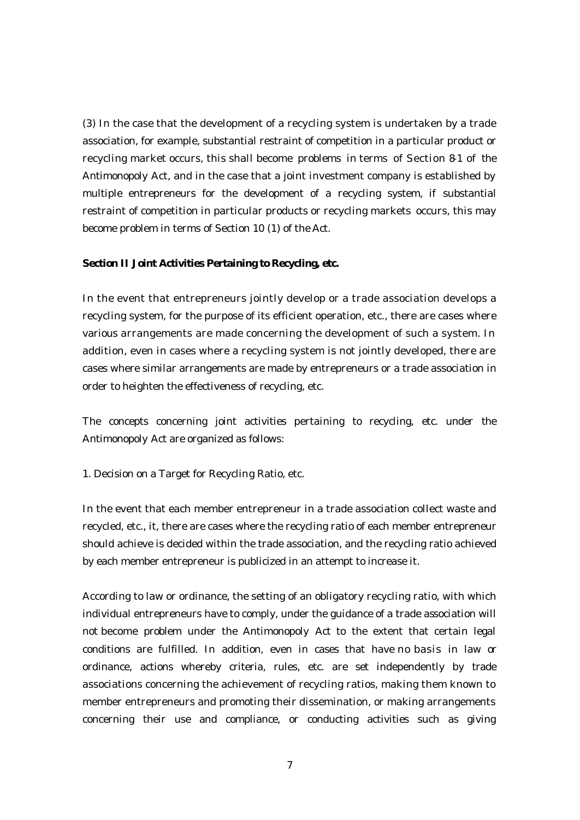(3) In the case that the development of a recycling system is undertaken by a trade association, for example, substantial restraint of competition in a particular product or recycling market occurs, this shall become problems in terms of Section 8-1 of the Antimonopoly Act, and in the case that a joint investment company is established by multiple entrepreneurs for the development of a recycling system, if substantial restraint of competition in particular products or recycling markets occurs, this may become problem in terms of Section 10 (1) of the Act.

#### **Section II Joint Activities Pertaining to Recycling, etc.**

In the event that entrepreneurs jointly develop or a trade association develops a recycling system, for the purpose of its efficient operation, etc., there are cases where various arrangements are made concerning the development of such a system. In addition, even in cases where a recycling system is not jointly developed, there are cases where similar arrangements are made by entrepreneurs or a trade association in order to heighten the effectiveness of recycling, etc.

The concepts concerning joint activities pertaining to recycling, etc. under the Antimonopoly Act are organized as follows:

1. Decision on a Target for Recycling Ratio, etc.

In the event that each member entrepreneur in a trade association collect waste and recycled, etc., it, there are cases where the recycling ratio of each member entrepreneur should achieve is decided within the trade association, and the recycling ratio achieved by each member entrepreneur is publicized in an attempt to increase it.

According to law or ordinance, the setting of an obligatory recycling ratio, with which individual entrepreneurs have to comply, under the guidance of a trade association will not become problem under the Antimonopoly Act to the extent that certain legal conditions are fulfilled. In addition, even in cases that have no basis in law or ordinance, actions whereby criteria, rules, etc. are set independently by trade associations concerning the achievement of recycling ratios, making them known to member entrepreneurs and promoting their dissemination, or making arrangements concerning their use and compliance, or conducting activities such as giving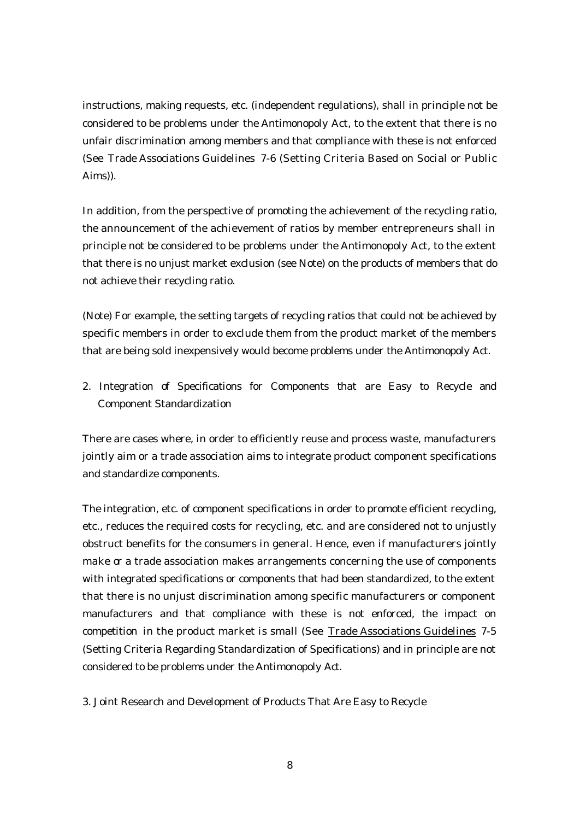instructions, making requests, etc. (independent regulations), shall in principle not be considered to be problems under the Antimonopoly Act, to the extent that there is no unfair discrimination among members and that compliance with these is not enforced (See Trade Associations Guidelines 7-6 (Setting Criteria Based on Social or Public Aims)).

In addition, from the perspective of promoting the achievement of the recycling ratio, the announcement of the achievement of ratios by member entrepreneurs shall in principle not be considered to be problems under the Antimonopoly Act, to the extent that there is no unjust market exclusion (see Note) on the products of members that do not achieve their recycling ratio.

(Note) For example, the setting targets of recycling ratios that could not be achieved by specific members in order to exclude them from the product market of the members that are being sold inexpensively would become problems under the Antimonopoly Act.

2. Integration of Specifications for Components that are Easy to Recycle and Component Standardization

There are cases where, in order to efficiently reuse and process waste, manufacturers jointly aim or a trade association aims to integrate product component specifications and standardize components.

The integration, etc. of component specifications in order to promote efficient recycling, etc., reduces the required costs for recycling, etc. and are considered not to unjustly obstruct benefits for the consumers in general. Hence, even if manufacturers jointly make or a trade association makes arrangements concerning the use of components with integrated specifications or components that had been standardized, to the extent that there is no unjust discrimination among specific manufacturers or component manufacturers and that compliance with these is not enforced, the impact on competition in the product market is small (See Trade Associations Guidelines 7-5 (Setting Criteria Regarding Standardization of Specifications) and in principle are not considered to be problems under the Antimonopoly Act.

3. Joint Research and Development of Products That Are Easy to Recycle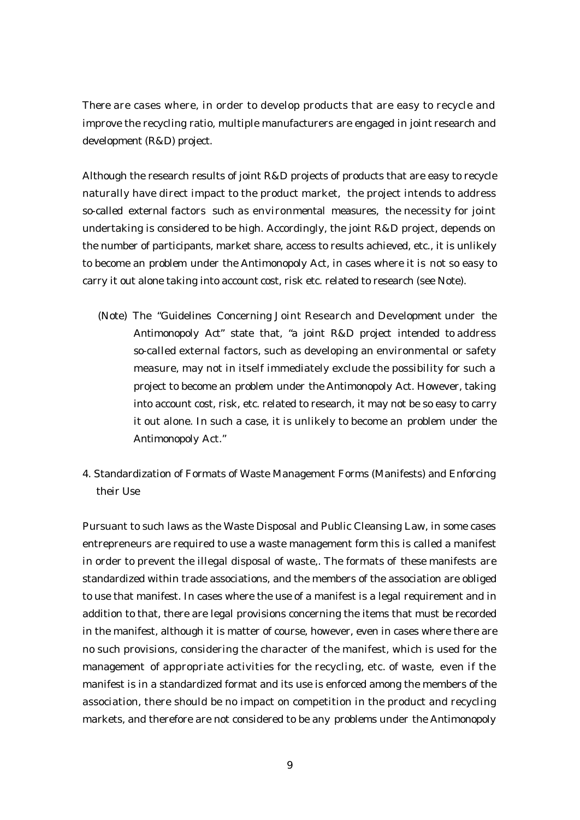There are cases where, in order to develop products that are easy to recycle and improve the recycling ratio, multiple manufacturers are engaged in joint research and development (R&D) project.

Although the research results of joint R&D projects of products that are easy to recycle naturally have direct impact to the product market, the project intends to address so-called external factors such as environmental measures, the necessity for joint undertaking is considered to be high. Accordingly, the joint R&D project, depends on the number of participants, market share, access to results achieved, etc., it is unlikely to become an problem under the Antimonopoly Act, in cases where it is not so easy to carry it out alone taking into account cost, risk etc. related to research (see Note).

- (Note) The "Guidelines Concerning Joint Research and Development under the Antimonopoly Act" state that, "a joint R&D project intended to address so-called external factors, such as developing an environmental or safety measure, may not in itself immediately exclude the possibility for such a project to become an problem under the Antimonopoly Act. However, taking into account cost, risk, etc. related to research, it may not be so easy to carry it out alone. In such a case, it is unlikely to become an problem under the Antimonopoly Act."
- 4. Standardization of Formats of Waste Management Forms (Manifests) and Enforcing their Use

Pursuant to such laws as the Waste Disposal and Public Cleansing Law, in some cases entrepreneurs are required to use a waste management form this is called a manifest in order to prevent the illegal disposal of waste,. The formats of these manifests are standardized within trade associations, and the members of the association are obliged to use that manifest. In cases where the use of a manifest is a legal requirement and in addition to that, there are legal provisions concerning the items that must be recorded in the manifest, although it is matter of course, however, even in cases where there are no such provisions, considering the character of the manifest, which is used for the management of appropriate activities for the recycling, etc. of waste, even if the manifest is in a standardized format and its use is enforced among the members of the association, there should be no impact on competition in the product and recycling markets, and therefore are not considered to be any problems under the Antimonopoly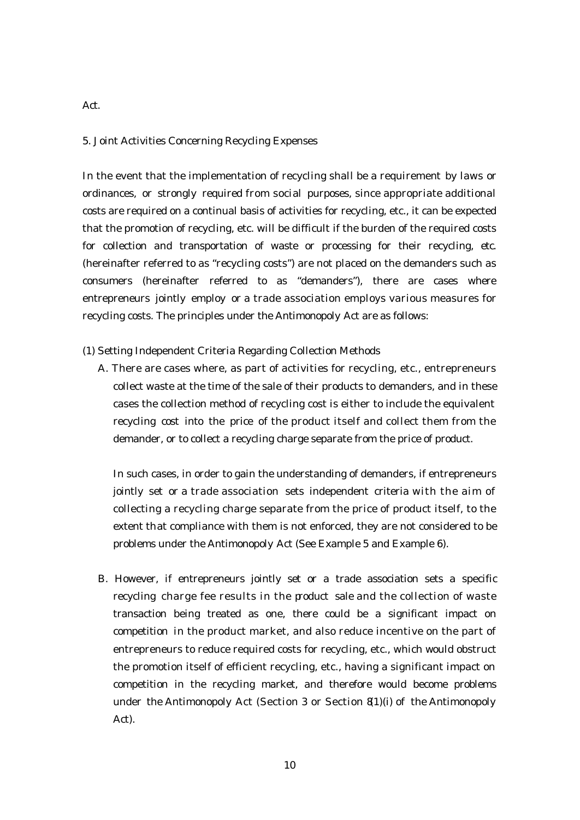# 5. Joint Activities Concerning Recycling Expenses

In the event that the implementation of recycling shall be a requirement by laws or ordinances, or strongly required from social purposes, since appropriate additional costs are required on a continual basis of activities for recycling, etc., it can be expected that the promotion of recycling, etc. will be difficult if the burden of the required costs for collection and transportation of waste or processing for their recycling, etc. (hereinafter referred to as "recycling costs") are not placed on the demanders such as consumers (hereinafter referred to as "demanders"), there are cases where entrepreneurs jointly employ or a trade association employs various measures for recycling costs. The principles under the Antimonopoly Act are as follows:

(1) Setting Independent Criteria Regarding Collection Methods

A. There are cases where, as part of activities for recycling, etc., entrepreneurs collect waste at the time of the sale of their products to demanders, and in these cases the collection method of recycling cost is either to include the equivalent recycling cost into the price of the product itself and collect them from the demander, or to collect a recycling charge separate from the price of product.

In such cases, in order to gain the understanding of demanders, if entrepreneurs jointly set or a trade association sets independent criteria with the aim of collecting a recycling charge separate from the price of product itself, to the extent that compliance with them is not enforced, they are not considered to be problems under the Antimonopoly Act (See Example 5 and Example 6).

B. However, if entrepreneurs jointly set or a trade association sets a specific recycling charge fee results in the product sale and the collection of waste transaction being treated as one, there could be a significant impact on competition in the product market, and also reduce incentive on the part of entrepreneurs to reduce required costs for recycling, etc., which would obstruct the promotion itself of efficient recycling, etc., having a significant impact on competition in the recycling market, and therefore would become problems under the Antimonopoly Act (Section 3 or Section 81)(i) of the Antimonopoly Act).

Act.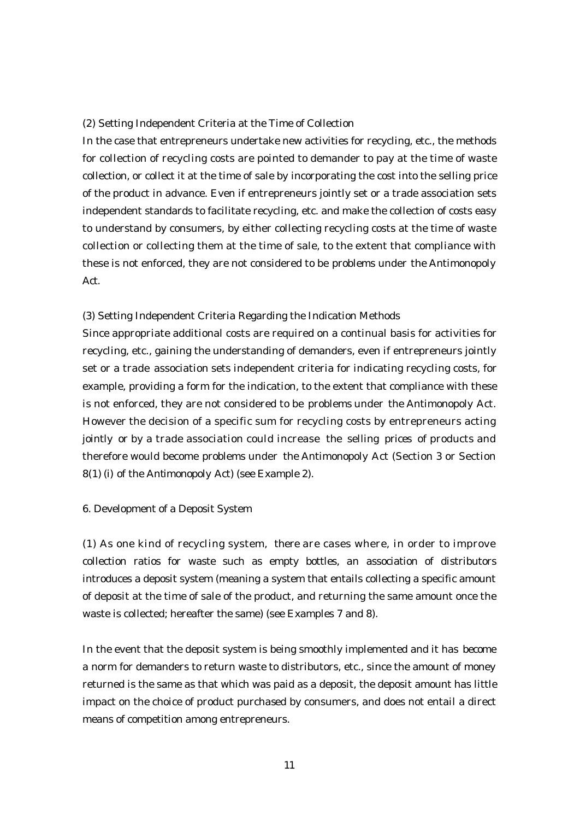#### (2) Setting Independent Criteria at the Time of Collection

In the case that entrepreneurs undertake new activities for recycling, etc., the methods for collection of recycling costs are pointed to demander to pay at the time of waste collection, or collect it at the time of sale by incorporating the cost into the selling price of the product in advance. Even if entrepreneurs jointly set or a trade association sets independent standards to facilitate recycling, etc. and make the collection of costs easy to understand by consumers, by either collecting recycling costs at the time of waste collection or collecting them at the time of sale, to the extent that compliance with these is not enforced, they are not considered to be problems under the Antimonopoly Act.

#### (3) Setting Independent Criteria Regarding the Indication Methods

Since appropriate additional costs are required on a continual basis for activities for recycling, etc., gaining the understanding of demanders, even if entrepreneurs jointly set or a trade association sets independent criteria for indicating recycling costs, for example, providing a form for the indication, to the extent that compliance with these is not enforced, they are not considered to be problems under the Antimonopoly Act. However the decision of a specific sum for recycling costs by entrepreneurs acting jointly or by a trade association could increase the selling prices of products and therefore would become problems under the Antimonopoly Act (Section 3 or Section 8(1) (i) of the Antimonopoly Act) (see Example 2).

#### 6. Development of a Deposit System

(1) As one kind of recycling system, there are cases where, in order to improve collection ratios for waste such as empty bottles, an association of distributors introduces a deposit system (meaning a system that entails collecting a specific amount of deposit at the time of sale of the product, and returning the same amount once the waste is collected; hereafter the same) (see Examples 7 and 8).

In the event that the deposit system is being smoothly implemented and it has become a norm for demanders to return waste to distributors, etc., since the amount of money returned is the same as that which was paid as a deposit, the deposit amount has little impact on the choice of product purchased by consumers, and does not entail a direct means of competition among entrepreneurs.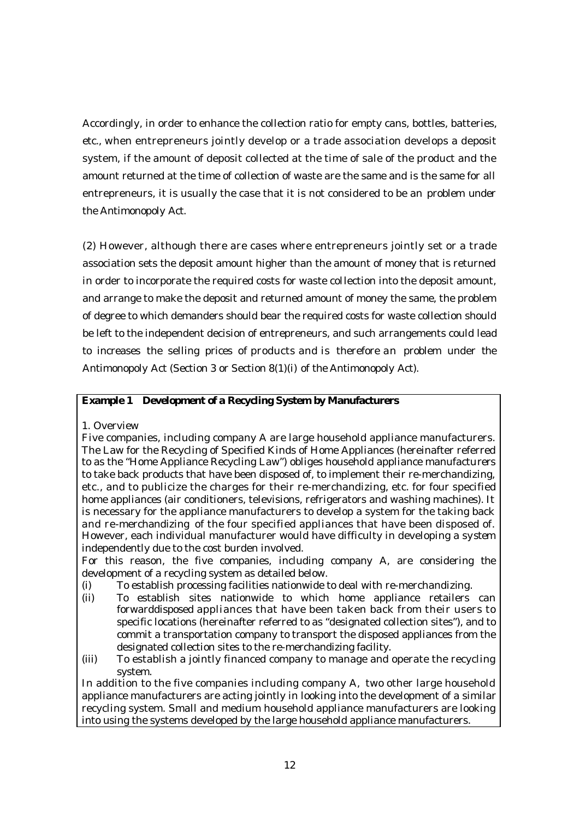Accordingly, in order to enhance the collection ratio for empty cans, bottles, batteries, etc., when entrepreneurs jointly develop or a trade association develops a deposit system, if the amount of deposit collected at the time of sale of the product and the amount returned at the time of collection of waste are the same and is the same for all entrepreneurs, it is usually the case that it is not considered to be an problem under the Antimonopoly Act.

(2) However, although there are cases where entrepreneurs jointly set or a trade association sets the deposit amount higher than the amount of money that is returned in order to incorporate the required costs for waste collection into the deposit amount, and arrange to make the deposit and returned amount of money the same, the problem of degree to which demanders should bear the required costs for waste collection should be left to the independent decision of entrepreneurs, and such arrangements could lead to increases the selling prices of products and is therefore an problem under the Antimonopoly Act (Section 3 or Section 8(1)(i) of the Antimonopoly Act).

# **Example 1 Development of a Recycling System by Manufacturers**

1. Overview

Five companies, including company A are large household appliance manufacturers. The Law for the Recycling of Specified Kinds of Home Appliances (hereinafter referred to as the "Home Appliance Recycling Law") obliges household appliance manufacturers to take back products that have been disposed of, to implement their re-merchandizing, etc., and to publicize the charges for their re-merchandizing, etc. for four specified home appliances (air conditioners, televisions, refrigerators and washing machines). It is necessary for the appliance manufacturers to develop a system for the taking back and re-merchandizing of the four specified appliances that have been disposed of. However, each individual manufacturer would have difficulty in developing a system independently due to the cost burden involved.

For this reason, the five companies, including company A, are considering the development of a recycling system as detailed below.

- (i) To establish processing facilities nationwide to deal with re-merchandizing.
- (ii) To establish sites nationwide to which home appliance retailers can forwarddisposed appliances that have been taken back from their users to specific locations (hereinafter referred to as "designated collection sites"), and to commit a transportation company to transport the disposed appliances from the designated collection sites to the re-merchandizing facility.
- (iii) To establish a jointly financed company to manage and operate the recycling system.

In addition to the five companies including company A, two other large household appliance manufacturers are acting jointly in looking into the development of a similar recycling system. Small and medium household appliance manufacturers are looking into using the systems developed by the large household appliance manufacturers.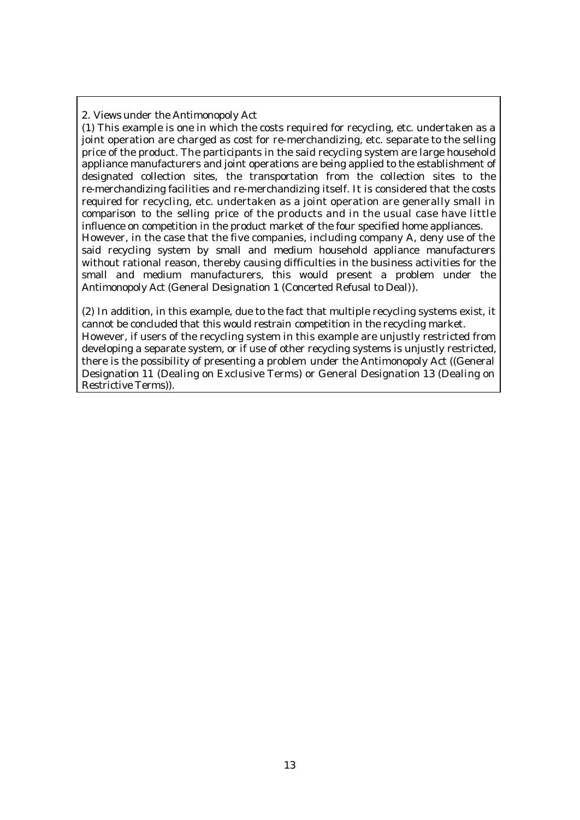2. Views under the Antimonopoly Act

(1) This example is one in which the costs required for recycling, etc. undertaken as a joint operation are charged as cost for re-merchandizing, etc. separate to the selling price of the product. The participants in the said recycling system are large household appliance manufacturers and joint operations are being applied to the establishment of designated collection sites, the transportation from the collection sites to the re-merchandizing facilities and re-merchandizing itself. It is considered that the costs required for recycling, etc. undertaken as a joint operation are generally small in comparison to the selling price of the products and in the usual case have little influence on competition in the product market of the four specified home appliances. However, in the case that the five companies, including company A, deny use of the said recycling system by small and medium household appliance manufacturers without rational reason, thereby causing difficulties in the business activities for the small and medium manufacturers, this would present a problem under the Antimonopoly Act (General Designation 1 (Concerted Refusal to Deal)).

(2) In addition, in this example, due to the fact that multiple recycling systems exist, it cannot be concluded that this would restrain competition in the recycling market. However, if users of the recycling system in this example are unjustly restricted from developing a separate system, or if use of other recycling systems is unjustly restricted, there is the possibility of presenting a problem under the Antimonopoly Act ((General Designation 11 (Dealing on Exclusive Terms) or General Designation 13 (Dealing on Restrictive Terms)).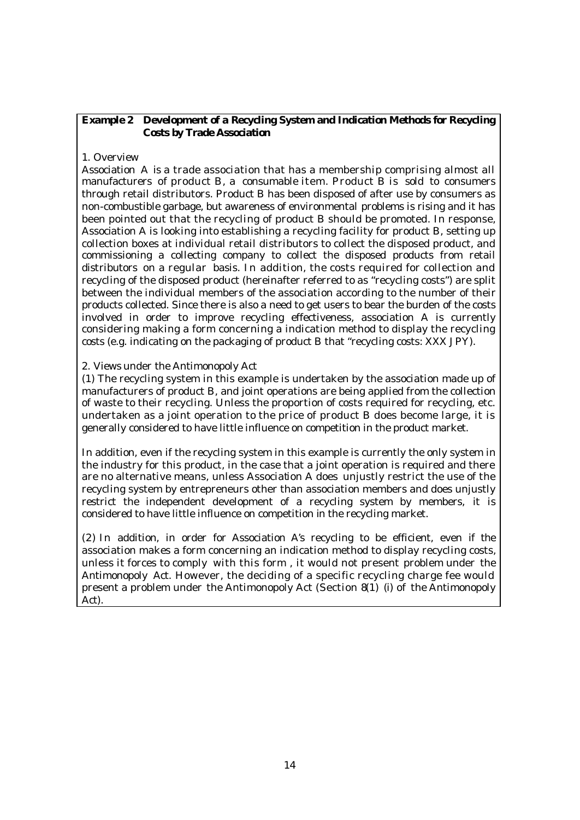# **Example 2 Development of a Recycling System and Indication Methods for Recycling Costs by Trade Association**

## 1. Overview

Association A is a trade association that has a membership comprising almost all manufacturers of product B, a consumable item. Product B is sold to consumers through retail distributors. Product B has been disposed of after use by consumers as non-combustible garbage, but awareness of environmental problems is rising and it has been pointed out that the recycling of product B should be promoted. In response, Association A is looking into establishing a recycling facility for product B, setting up collection boxes at individual retail distributors to collect the disposed product, and commissioning a collecting company to collect the disposed products from retail distributors on a regular basis. In addition, the costs required for collection and recycling of the disposed product (hereinafter referred to as "recycling costs") are split between the individual members of the association according to the number of their products collected. Since there is also a need to get users to bear the burden of the costs involved in order to improve recycling effectiveness, association A is currently considering making a form concerning a indication method to display the recycling costs (e.g. indicating on the packaging of product B that "recycling costs: XXX JPY).

## 2. Views under the Antimonopoly Act

(1) The recycling system in this example is undertaken by the association made up of manufacturers of product B, and joint operations are being applied from the collection of waste to their recycling. Unless the proportion of costs required for recycling, etc. undertaken as a joint operation to the price of product B does become large, it is generally considered to have little influence on competition in the product market.

In addition, even if the recycling system in this example is currently the only system in the industry for this product, in the case that a joint operation is required and there are no alternative means, unless Association A does unjustly restrict the use of the recycling system by entrepreneurs other than association members and does unjustly restrict the independent development of a recycling system by members, it is considered to have little influence on competition in the recycling market.

(2) In addition, in order for Association A's recycling to be efficient, even if the association makes a form concerning an indication method to display recycling costs, unless it forces to comply with this form , it would not present problem under the Antimonopoly Act. However, the deciding of a specific recycling charge fee would present a problem under the Antimonopoly Act (Section 8(1) (i) of the Antimonopoly Act).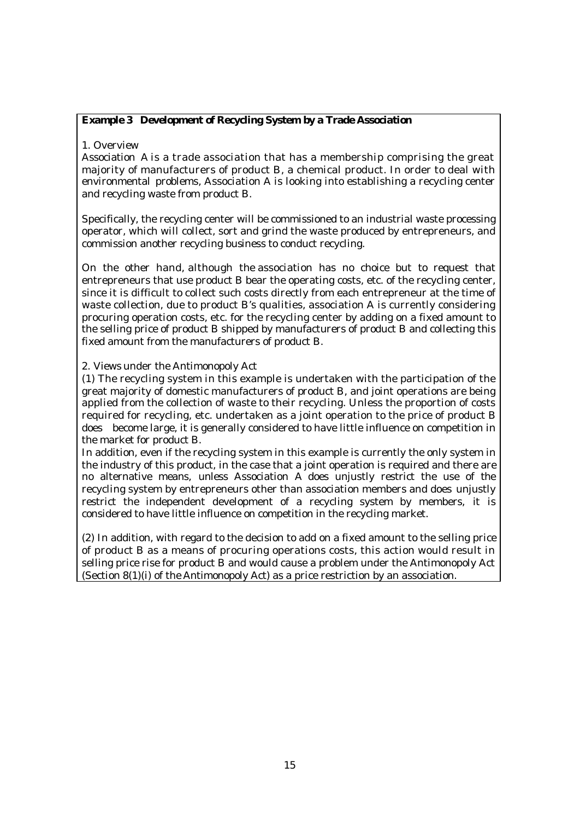# **Example 3 Development of Recycling System by a Trade Association**

1. Overview

Association A is a trade association that has a membership comprising the great majority of manufacturers of product B, a chemical product. In order to deal with environmental problems, Association A is looking into establishing a recycling center and recycling waste from product B.

Specifically, the recycling center will be commissioned to an industrial waste processing operator, which will collect, sort and grind the waste produced by entrepreneurs, and commission another recycling business to conduct recycling.

On the other hand, although the association has no choice but to request that entrepreneurs that use product B bear the operating costs, etc. of the recycling center, since it is difficult to collect such costs directly from each entrepreneur at the time of waste collection, due to product B's qualities, association A is currently considering procuring operation costs, etc. for the recycling center by adding on a fixed amount to the selling price of product B shipped by manufacturers of product B and collecting this fixed amount from the manufacturers of product B.

2. Views under the Antimonopoly Act

(1) The recycling system in this example is undertaken with the participation of the great majority of domestic manufacturers of product B, and joint operations are being applied from the collection of waste to their recycling. Unless the proportion of costs required for recycling, etc. undertaken as a joint operation to the price of product B does become large, it is generally considered to have little influence on competition in the market for product B.

In addition, even if the recycling system in this example is currently the only system in the industry of this product, in the case that a joint operation is required and there are no alternative means, unless Association A does unjustly restrict the use of the recycling system by entrepreneurs other than association members and does unjustly restrict the independent development of a recycling system by members, it is considered to have little influence on competition in the recycling market.

(2) In addition, with regard to the decision to add on a fixed amount to the selling price of product B as a means of procuring operations costs, this action would result in selling price rise for product B and would cause a problem under the Antimonopoly Act (Section 8(1)(i) of the Antimonopoly Act) as a price restriction by an association.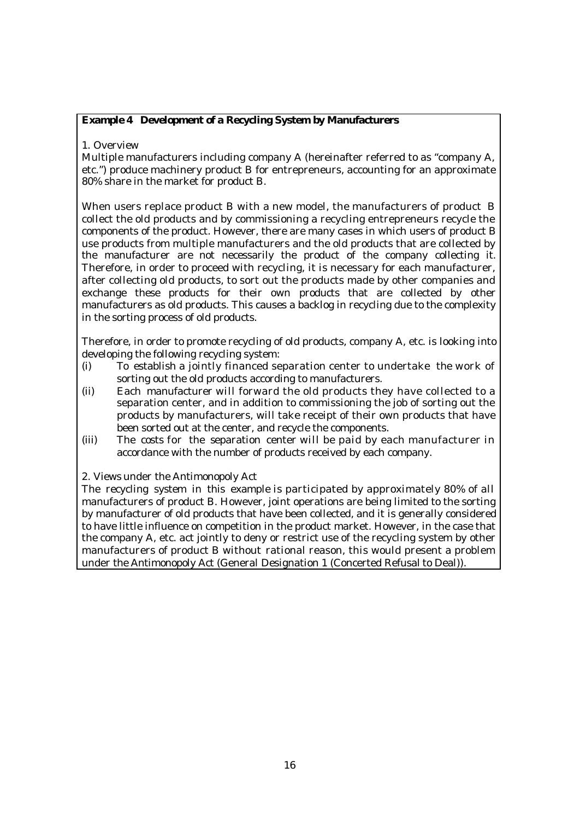# **Example 4 Development of a Recycling System by Manufacturers**

## 1. Overview

Multiple manufacturers including company A (hereinafter referred to as "company A, etc.") produce machinery product B for entrepreneurs, accounting for an approximate 80% share in the market for product B.

When users replace product B with a new model, the manufacturers of product B collect the old products and by commissioning a recycling entrepreneurs recycle the components of the product. However, there are many cases in which users of product B use products from multiple manufacturers and the old products that are collected by the manufacturer are not necessarily the product of the company collecting it. Therefore, in order to proceed with recycling, it is necessary for each manufacturer, after collecting old products, to sort out the products made by other companies and exchange these products for their own products that are collected by other manufacturers as old products. This causes a backlog in recycling due to the complexity in the sorting process of old products.

Therefore, in order to promote recycling of old products, company A, etc. is looking into developing the following recycling system:

- (i) To establish a jointly financed separation center to undertake the work of sorting out the old products according to manufacturers.
- (ii) Each manufacturer will forward the old products they have collected to a separation center, and in addition to commissioning the job of sorting out the products by manufacturers, will take receipt of their own products that have been sorted out at the center, and recycle the components.
- (iii) The costs for the separation center will be paid by each manufacturer in accordance with the number of products received by each company.

#### 2. Views under the Antimonopoly Act

The recycling system in this example is participated by approximately 80% of all manufacturers of product B. However, joint operations are being limited to the sorting by manufacturer of old products that have been collected, and it is generally considered to have little influence on competition in the product market. However, in the case that the company A, etc. act jointly to deny or restrict use of the recycling system by other manufacturers of product B without rational reason, this would present a problem under the Antimonopoly Act (General Designation 1 (Concerted Refusal to Deal)).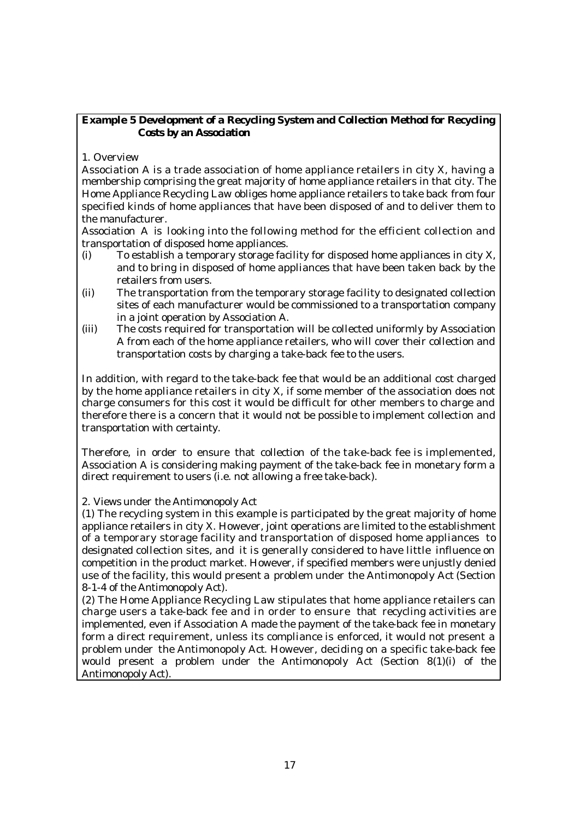# **Example 5 Development of a Recycling System and Collection Method for Recycling Costs by an Association**

1. Overview

Association A is a trade association of home appliance retailers in city X, having a membership comprising the great majority of home appliance retailers in that city. The Home Appliance Recycling Law obliges home appliance retailers to take back from four specified kinds of home appliances that have been disposed of and to deliver them to the manufacturer.

Association A is looking into the following method for the efficient collection and transportation of disposed home appliances.

- (i) To establish a temporary storage facility for disposed home appliances in city X, and to bring in disposed of home appliances that have been taken back by the retailers from users.
- (ii) The transportation from the temporary storage facility to designated collection sites of each manufacturer would be commissioned to a transportation company in a joint operation by Association A.
- (iii) The costs required for transportation will be collected uniformly by Association A from each of the home appliance retailers, who will cover their collection and transportation costs by charging a take-back fee to the users.

In addition, with regard to the take-back fee that would be an additional cost charged by the home appliance retailers in city X, if some member of the association does not charge consumers for this cost it would be difficult for other members to charge and therefore there is a concern that it would not be possible to implement collection and transportation with certainty.

Therefore, in order to ensure that collection of the take-back fee is implemented, Association A is considering making payment of the take-back fee in monetary form a direct requirement to users (i.e. not allowing a free take-back).

2. Views under the Antimonopoly Act

(1) The recycling system in this example is participated by the great majority of home appliance retailers in city X. However, joint operations are limited to the establishment of a temporary storage facility and transportation of disposed home appliances to designated collection sites, and it is generally considered to have little influence on competition in the product market. However, if specified members were unjustly denied use of the facility, this would present a problem under the Antimonopoly Act (Section 8-1-4 of the Antimonopoly Act).

(2) The Home Appliance Recycling Law stipulates that home appliance retailers can charge users a take-back fee and in order to ensure that recycling activities are implemented, even if Association A made the payment of the take-back fee in monetary form a direct requirement, unless its compliance is enforced, it would not present a problem under the Antimonopoly Act. However, deciding on a specific take-back fee would present a problem under the Antimonopoly Act (Section 8(1)(i) of the Antimonopoly Act).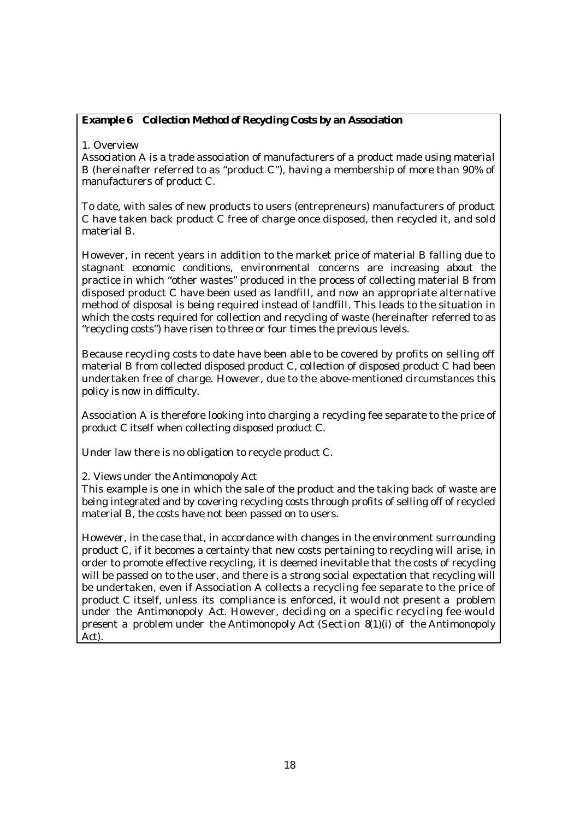# **Example 6 Collection Method of Recycling Costs by an Association**

1. Overview

Association A is a trade association of manufacturers of a product made using material B (hereinafter referred to as "product C"), having a membership of more than 90% of manufacturers of product C.

To date, with sales of new products to users (entrepreneurs) manufacturers of product C have taken back product C free of charge once disposed, then recycled it, and sold material B.

However, in recent years in addition to the market price of material B falling due to stagnant economic conditions, environmental concerns are increasing about the practice in which "other wastes" produced in the process of collecting material B from disposed product C have been used as landfill, and now an appropriate alternative method of disposal is being required instead of landfill. This leads to the situation in which the costs required for collection and recycling of waste (hereinafter referred to as "recycling costs") have risen to three or four times the previous levels.

Because recycling costs to date have been able to be covered by profits on selling off material B from collected disposed product C, collection of disposed product C had been undertaken free of charge. However, due to the above-mentioned circumstances this policy is now in difficulty.

Association A is therefore looking into charging a recycling fee separate to the price of product C itself when collecting disposed product C.

Under law there is no obligation to recycle product C.

2. Views under the Antimonopoly Act

This example is one in which the sale of the product and the taking back of waste are being integrated and by covering recycling costs through profits of selling off of recycled material B, the costs have not been passed on to users.

However, in the case that, in accordance with changes in the environment surrounding product C, if it becomes a certainty that new costs pertaining to recycling will arise, in order to promote effective recycling, it is deemed inevitable that the costs of recycling will be passed on to the user, and there is a strong social expectation that recycling will be undertaken, even if Association A collects a recycling fee separate to the price of product C itself, unless its compliance is enforced, it would not present a problem under the Antimonopoly Act. However, deciding on a specific recycling fee would present a problem under the Antimonopoly Act (Section 8(1)(i) of the Antimonopoly Act).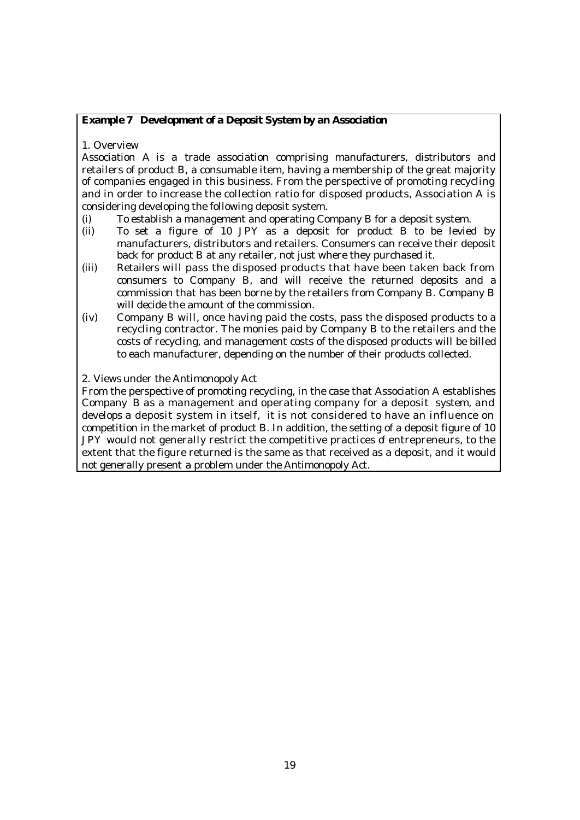#### **Example 7 Development of a Deposit System by an Association**

1. Overview

Association A is a trade association comprising manufacturers, distributors and retailers of product B, a consumable item, having a membership of the great majority of companies engaged in this business. From the perspective of promoting recycling and in order to increase the collection ratio for disposed products, Association A is considering developing the following deposit system.

- (i) To establish a management and operating Company B for a deposit system.
- (ii) To set a figure of 10 JPY as a deposit for product B to be levied by manufacturers, distributors and retailers. Consumers can receive their deposit back for product B at any retailer, not just where they purchased it.
- (iii) Retailers will pass the disposed products that have been taken back from consumers to Company B, and will receive the returned deposits and a commission that has been borne by the retailers from Company B. Company B will decide the amount of the commission.
- (iv) Company B will, once having paid the costs, pass the disposed products to a recycling contractor. The monies paid by Company B to the retailers and the costs of recycling, and management costs of the disposed products will be billed to each manufacturer, depending on the number of their products collected.

#### 2. Views under the Antimonopoly Act

From the perspective of promoting recycling, in the case that Association A establishes Company B as a management and operating company for a deposit system, and develops a deposit system in itself, it is not considered to have an influence on competition in the market of product B. In addition, the setting of a deposit figure of 10 JPY would not generally restrict the competitive practices of entrepreneurs, to the extent that the figure returned is the same as that received as a deposit, and it would not generally present a problem under the Antimonopoly Act.